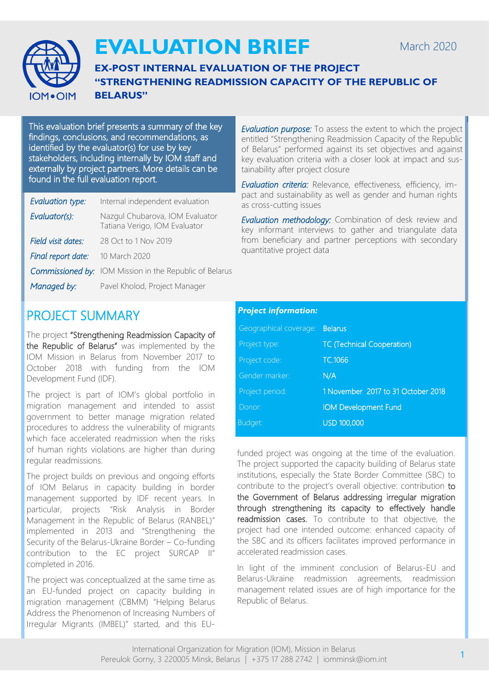

# **EVALUATION BRIEF**

### **EX-POST INTERNAL EVALUATION OF THE PROJECT "STRENGTHENING READMISSION CAPACITY OF THE REPUBLIC OF BELARUS"**

This evaluation brief presents a summary of the key findings, conclusions, and recommendations, as identified by the evaluator(s) for use by key stakeholders, including internally by IOM staff and externally by project partners. More details can be found in the full evaluation report.

| Evaluation type:   | Internal independent evaluation                                  |
|--------------------|------------------------------------------------------------------|
| Evaluator(s):      | Nazgul Chubarova, IOM Evaluator<br>Tatiana Verigo, IOM Evaluator |
| Field visit dates: | 28 Oct to 1 Nov 2019                                             |
| Final report date: | 10 March 2020                                                    |
|                    | <b>Commissioned by:</b> IOM Mission in the Republic of Belarus   |
| Managed by:        | Pavel Kholod, Project Manager                                    |
|                    |                                                                  |

*Evaluation purpose:* To assess the extent to which the project entitled "Strengthening Readmission Capacity of the Republic of Belarus" performed against its set objectives and against key evaluation criteria with a closer look at impact and sustainability after project closure

*Evaluation criteria:* Relevance, effectiveness, efficiency, impact and sustainability as well as gender and human rights as cross-cutting issues

*Evaluation methodology:* Combination of desk review and key informant interviews to gather and triangulate data from beneficiary and partner perceptions with secondary quantitative project data

## PROJECT SUMMARY

The project "Strengthening Readmission Capacity of the Republic of Belarus" was implemented by the IOM Mission in Belarus from November 2017 to October 2018 with funding from the IOM Development Fund (IDF).

The project is part of IOM's global portfolio in migration management and intended to assist government to better manage migration related procedures to address the vulnerability of migrants which face accelerated readmission when the risks of human rights violations are higher than during regular readmissions.

The project builds on previous and ongoing efforts of IOM Belarus in capacity building in border management supported by IDF recent years. In particular, projects "Risk Analysis in Border Management in the Republic of Belarus (RANBEL)" implemented in 2013 and "Strengthening the Security of the Belarus-Ukraine Border – Co-funding contribution to the EC project SURCAP II" completed in 2016.

The project was conceptualized at the same time as an EU-funded project on capacity building in migration management (CBMM) "Helping Belarus Address the Phenomenon of Increasing Numbers of Irregular Migrants (IMBEL)" started, and this EU-

### *Project information:*

| Geographical coverage: | <b>Belarus</b>                     |
|------------------------|------------------------------------|
| Project type:          | <b>TC (Technical Cooperation)</b>  |
| Project code:          | TC.1066                            |
| Gender marker:         | N/A                                |
| Project period:        | 1 November 2017 to 31 October 2018 |
| Donor:                 | <b>IOM Development Fund</b>        |
| Budget:                | <b>USD 100,000</b>                 |

funded project was ongoing at the time of the evaluation. The project supported the capacity building of Belarus state institutions, especially the State Border Committee (SBC) to contribute to the project's overall objective: contribution to the Government of Belarus addressing irregular migration through strengthening its capacity to effectively handle readmission cases. To contribute to that objective, the project had one intended outcome: enhanced capacity of the SBC and its officers facilitates improved performance in accelerated readmission cases.

In light of the imminent conclusion of Belarus-EU and Belarus-Ukraine readmission agreements, readmission management related issues are of high importance for the Republic of Belarus.